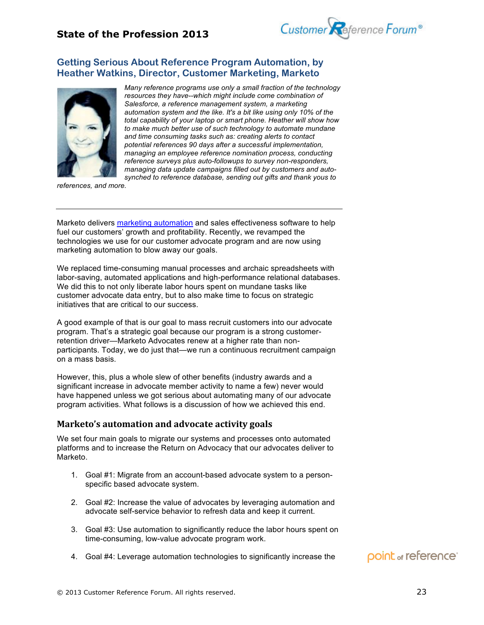

### **Getting Serious About Reference Program Automation, by Heather Watkins, Director, Customer Marketing, Marketo**



*Many reference programs use only a small fraction of the technology resources they have--which might include come combination of Salesforce, a reference management system, a marketing automation system and the like. It's a bit like using only 10% of the total capability of your laptop or smart phone. Heather will show how to make much better use of such technology to automate mundane and time consuming tasks such as: creating alerts to contact potential references 90 days after a successful implementation, managing an employee reference nomination process, conducting reference surveys plus auto-followups to survey non-responders, managing data update campaigns filled out by customers and autosynched to reference database, sending out gifts and thank yous to* 

*references, and more.*

Marketo delivers marketing automation and sales effectiveness software to help fuel our customers' growth and profitability. Recently, we revamped the technologies we use for our customer advocate program and are now using marketing automation to blow away our goals.

We replaced time-consuming manual processes and archaic spreadsheets with labor-saving, automated applications and high-performance relational databases. We did this to not only liberate labor hours spent on mundane tasks like customer advocate data entry, but to also make time to focus on strategic initiatives that are critical to our success.

A good example of that is our goal to mass recruit customers into our advocate program. That's a strategic goal because our program is a strong customerretention driver—Marketo Advocates renew at a higher rate than nonparticipants. Today, we do just that—we run a continuous recruitment campaign on a mass basis.

However, this, plus a whole slew of other benefits (industry awards and a significant increase in advocate member activity to name a few) never would have happened unless we got serious about automating many of our advocate program activities. What follows is a discussion of how we achieved this end.

### **Marketo's automation and advocate activity goals**

We set four main goals to migrate our systems and processes onto automated platforms and to increase the Return on Advocacy that our advocates deliver to Marketo.

- 1. Goal #1: Migrate from an account-based advocate system to a personspecific based advocate system.
- 2. Goal #2: Increase the value of advocates by leveraging automation and advocate self-service behavior to refresh data and keep it current.
- 3. Goal #3: Use automation to significantly reduce the labor hours spent on time-consuming, low-value advocate program work.
- 4. Goal #4: Leverage automation technologies to significantly increase the

## point of reference<sup>®</sup>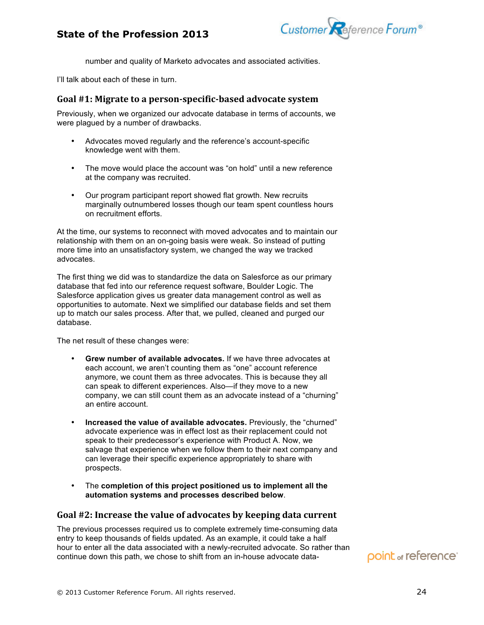## **State of the Profession 2013**



number and quality of Marketo advocates and associated activities.

I'll talk about each of these in turn.

#### Goal #1: Migrate to a person-specific-based advocate system

Previously, when we organized our advocate database in terms of accounts, we were plagued by a number of drawbacks.

- Advocates moved regularly and the reference's account-specific knowledge went with them.
- The move would place the account was "on hold" until a new reference at the company was recruited.
- Our program participant report showed flat growth. New recruits marginally outnumbered losses though our team spent countless hours on recruitment efforts.

At the time, our systems to reconnect with moved advocates and to maintain our relationship with them on an on-going basis were weak. So instead of putting more time into an unsatisfactory system, we changed the way we tracked advocates.

The first thing we did was to standardize the data on Salesforce as our primary database that fed into our reference request software, Boulder Logic. The Salesforce application gives us greater data management control as well as opportunities to automate. Next we simplified our database fields and set them up to match our sales process. After that, we pulled, cleaned and purged our database.

The net result of these changes were:

- **Grew number of available advocates.** If we have three advocates at each account, we aren't counting them as "one" account reference anymore, we count them as three advocates. This is because they all can speak to different experiences. Also—if they move to a new company, we can still count them as an advocate instead of a "churning" an entire account.
- **Increased the value of available advocates.** Previously, the "churned" advocate experience was in effect lost as their replacement could not speak to their predecessor's experience with Product A. Now, we salvage that experience when we follow them to their next company and can leverage their specific experience appropriately to share with prospects.
- The **completion of this project positioned us to implement all the automation systems and processes described below**.

### Goal #2: Increase the value of advocates by keeping data current

The previous processes required us to complete extremely time-consuming data entry to keep thousands of fields updated. As an example, it could take a half hour to enter all the data associated with a newly-recruited advocate. So rather than continue down this path, we chose to shift from an in-house advocate data-

# point of reference<sup>®</sup>